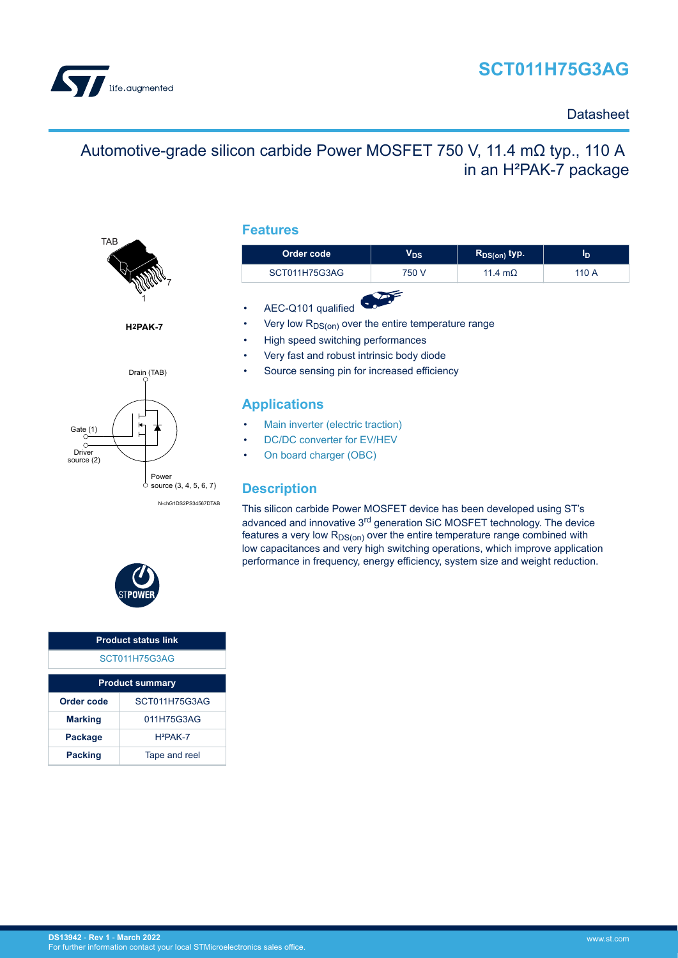# **SCT011H75G3AG**



### **Datasheet**

## Automotive-grade silicon carbide Power MOSFET 750 V, 11.4 mΩ typ., 110 A in an H²PAK-7 package



**H2PAK-7**



N-chG1DS2PS34567DTAB

### **Features**

| Order code    | $\mathsf{V}_{\mathsf{DS}}$ | $R_{DS(on)}$ typ. | סי    |  |  |
|---------------|----------------------------|-------------------|-------|--|--|
| SCT011H75G3AG | 750 V                      | 11.4 $m\Omega$    | 110 A |  |  |
|               |                            |                   |       |  |  |

- AEC-Q101 qualified
- Very low  $R_{DS(on)}$  over the entire temperature range
- High speed switching performances
- Very fast and robust intrinsic body diode
- Source sensing pin for increased efficiency

### **Applications**

- [Main inverter \(electric traction\)](https://www.st.com/en/applications/electro-mobility/main-inverter-electric-traction.html?ecmp=tt9471_gl_link_feb2019&rt=ds&id=DS13942)
- [DC/DC converter for EV/HEV](https://www.st.com/en/applications/electro-mobility/dc-dc-converter-for-ev-hev.html?ecmp=tt9471_gl_link_feb2019&rt=ds&id=DS13942)
- [On board charger \(OBC\)](https://www.st.com/en/applications/electro-mobility/on-board-charger-obc.html?ecmp=tt9471_gl_link_feb2019&rt=ds&id=DS13942)

### **Description**

This silicon carbide Power MOSFET device has been developed using ST's advanced and innovative 3rd generation SiC MOSFET technology. The device features a very low  $R_{DS(on)}$  over the entire temperature range combined with low capacitances and very high switching operations, which improve application performance in frequency, energy efficiency, system size and weight reduction.



| <b>Product status link</b> |               |  |
|----------------------------|---------------|--|
| SCT011H75G3AG              |               |  |
| <b>Product summary</b>     |               |  |
| Order code                 | SCT011H75G3AG |  |
| <b>Marking</b>             | 011H75G3AG    |  |
| Package                    | $H2PAK-7$     |  |
| <b>Packing</b>             | Tape and reel |  |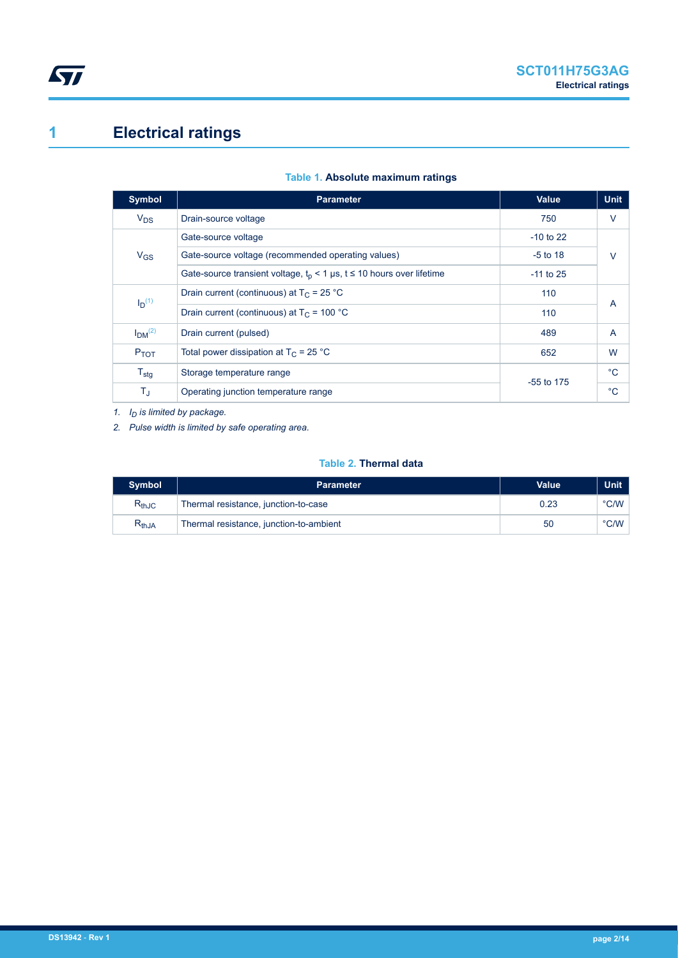# <span id="page-1-0"></span>**1 Electrical ratings**

| <b>Symbol</b>                  | <b>Parameter</b>                                                        | <b>Value</b> | <b>Unit</b>    |
|--------------------------------|-------------------------------------------------------------------------|--------------|----------------|
| $V_{DS}$                       | Drain-source voltage                                                    | 750          | $\vee$         |
|                                | Gate-source voltage                                                     | $-10$ to 22  |                |
| $V_{GS}$                       | Gate-source voltage (recommended operating values)                      | $-5$ to 18   | $\vee$         |
|                                | Gate-source transient voltage, $t_p$ < 1 µs, t ≤ 10 hours over lifetime | $-11$ to 25  |                |
| $I_D(1)$                       | Drain current (continuous) at $T_c = 25 °C$                             | 110          | $\overline{A}$ |
|                                | Drain current (continuous) at $T_C = 100 °C$                            | 110          |                |
| I <sub>DM</sub> <sup>(2)</sup> | Drain current (pulsed)                                                  | 489          | $\overline{A}$ |
| $P_{TOT}$                      | Total power dissipation at $T_C = 25$ °C                                | 652          | W              |
| $T_{\text{stg}}$               | Storage temperature range                                               | $-55$ to 175 | $^{\circ}C$    |
| $T_{\text{J}}$                 | Operating junction temperature range                                    |              | $^{\circ}C$    |

#### **Table 1. Absolute maximum ratings**

*1. ID is limited by package.*

*2. Pulse width is limited by safe operating area.*

#### **Table 2. Thermal data**

| <b>Symbol</b>                | <b>Parameter</b>                        | Value | Unit          |
|------------------------------|-----------------------------------------|-------|---------------|
| $\mathsf{R}_{\mathsf{thJC}}$ | Thermal resistance, junction-to-case    | 0.23  | °C/W          |
| $\mathsf{R}_{\mathsf{thJA}}$ | Thermal resistance, junction-to-ambient | 50    | $\degree$ C/W |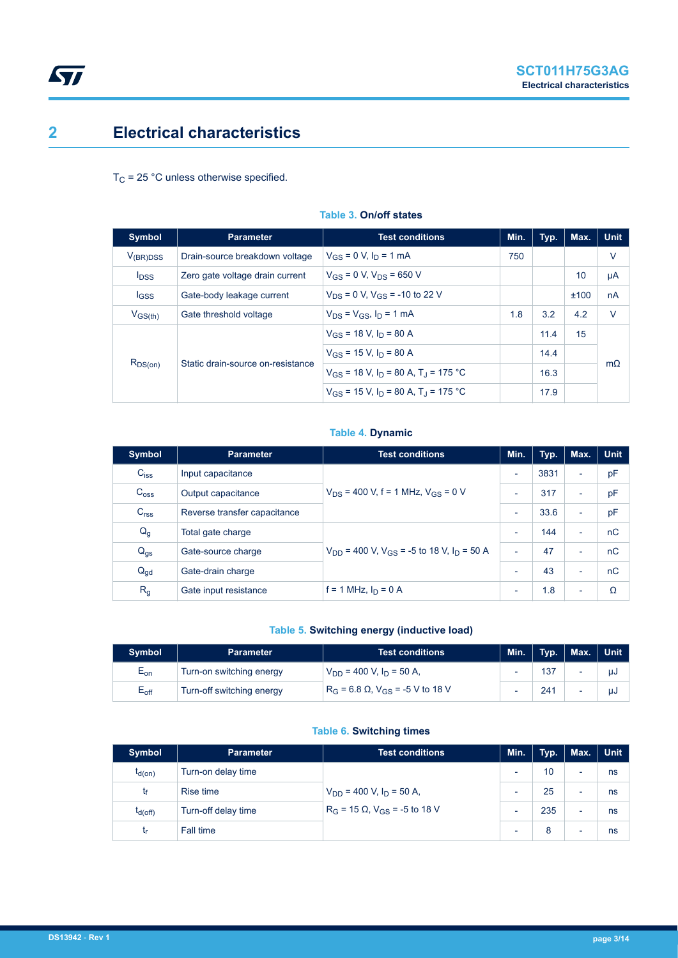## <span id="page-2-0"></span>**2 Electrical characteristics**

 $T_C$  = 25 °C unless otherwise specified.

| <b>Symbol</b>           | <b>Parameter</b>                  | <b>Test conditions</b>                                 | Min. | Typ. | Max. | <b>Unit</b> |
|-------------------------|-----------------------------------|--------------------------------------------------------|------|------|------|-------------|
| $V_{(BR)DSS}$           | Drain-source breakdown voltage    | $V_{GS} = 0$ V, $I_D = 1$ mA                           | 750  |      |      | $\vee$      |
| <b>I</b> <sub>DSS</sub> | Zero gate voltage drain current   | $V_{GS}$ = 0 V, $V_{DS}$ = 650 V                       |      |      | 10   | μA          |
| $_{\text{GSS}}$         | Gate-body leakage current         | $V_{DS} = 0$ V, $V_{GS} = -10$ to 22 V                 |      |      | ±100 | nA          |
| $V_{GS(th)}$            | Gate threshold voltage            | $V_{DS} = V_{GS}$ , $I_D = 1$ mA                       | 1.8  | 3.2  | 4.2  | $\vee$      |
| $R_{DS(on)}$            | Static drain-source on-resistance | $V_{GS}$ = 18 V, $I_D$ = 80 A                          |      | 11.4 | 15   |             |
|                         |                                   | $V_{GS}$ = 15 V, $I_D$ = 80 A                          |      | 14.4 |      | $m\Omega$   |
|                         |                                   | $V_{GS}$ = 18 V, $I_D$ = 80 A, T <sub>J</sub> = 175 °C |      | 16.3 |      |             |
|                         |                                   | $V_{GS}$ = 15 V, $I_D$ = 80 A, T <sub>1</sub> = 175 °C |      | 17.9 |      |             |

#### **Table 3. On/off states**

#### **Table 4. Dynamic**

| Symbol           | <b>Parameter</b>             | <b>Test conditions</b>                                                | Min.                     | Typ. | Max.                     | <b>Unit</b> |
|------------------|------------------------------|-----------------------------------------------------------------------|--------------------------|------|--------------------------|-------------|
| $C_{iss}$        | Input capacitance            |                                                                       | $\overline{\phantom{a}}$ | 3831 | $\overline{\phantom{a}}$ | pF          |
| C <sub>oss</sub> | Output capacitance           | $V_{DS}$ = 400 V, f = 1 MHz, $V_{GS}$ = 0 V                           | $\overline{\phantom{a}}$ | 317  | $\overline{\phantom{a}}$ | pF          |
| C <sub>rss</sub> | Reverse transfer capacitance |                                                                       |                          | 33.6 | $\overline{\phantom{a}}$ | pF          |
| $Q_g$            | Total gate charge            | $V_{DD}$ = 400 V, V <sub>GS</sub> = -5 to 18 V, I <sub>D</sub> = 50 A |                          | 144  | $\overline{\phantom{0}}$ | nC          |
| $Q_{gs}$         | Gate-source charge           |                                                                       |                          | 47   | $\overline{\phantom{0}}$ | nC          |
| $Q_{gd}$         | Gate-drain charge            |                                                                       |                          | 43   | $\overline{\phantom{a}}$ | nC          |
| R <sub>g</sub>   | Gate input resistance        | f = 1 MHz, $I_D$ = 0 A                                                | $\overline{\phantom{a}}$ | 1.8  | $\overline{\phantom{a}}$ | Ω           |

#### **Table 5. Switching energy (inductive load)**

| <b>Symbol</b>              | 'Parameter                | Test conditions <b>T</b>                              | Min.                     | Typ. | Max. | <b>Unit</b> |
|----------------------------|---------------------------|-------------------------------------------------------|--------------------------|------|------|-------------|
| $\mathsf{E}_{\mathsf{on}}$ | Turn-on switching energy  | $V_{DD}$ = 400 V, $I_D$ = 50 A,                       | ۰                        | 137  |      | μJ          |
| $E_{\rm off}$              | Turn-off switching energy | $R_G$ = 6.8 $\Omega$ , V <sub>GS</sub> = -5 V to 18 V | $\overline{\phantom{0}}$ | 241  |      | uJ          |

#### **Table 6. Switching times**

| <b>Symbol</b> | <b>Parameter</b>    | <b>Test conditions</b>                                                         | Min. | Typ. | Max.                     | <b>Unit</b> |
|---------------|---------------------|--------------------------------------------------------------------------------|------|------|--------------------------|-------------|
| $t_{d(on)}$   | Turn-on delay time  | $V_{DD}$ = 400 V, $I_D$ = 50 A,<br>$R_G$ = 15 $\Omega$ , $V_{GS}$ = -5 to 18 V |      | 10   | $\overline{\phantom{0}}$ | ns          |
| Ţŧ            | <b>Rise time</b>    |                                                                                |      | 25   | $\overline{\phantom{0}}$ | ns          |
| $t_{d(Off)}$  | Turn-off delay time |                                                                                |      | 235  | $\overline{\phantom{a}}$ | ns          |
| t,            | Fall time           |                                                                                | ٠    | 8    | $\overline{\phantom{0}}$ | ns          |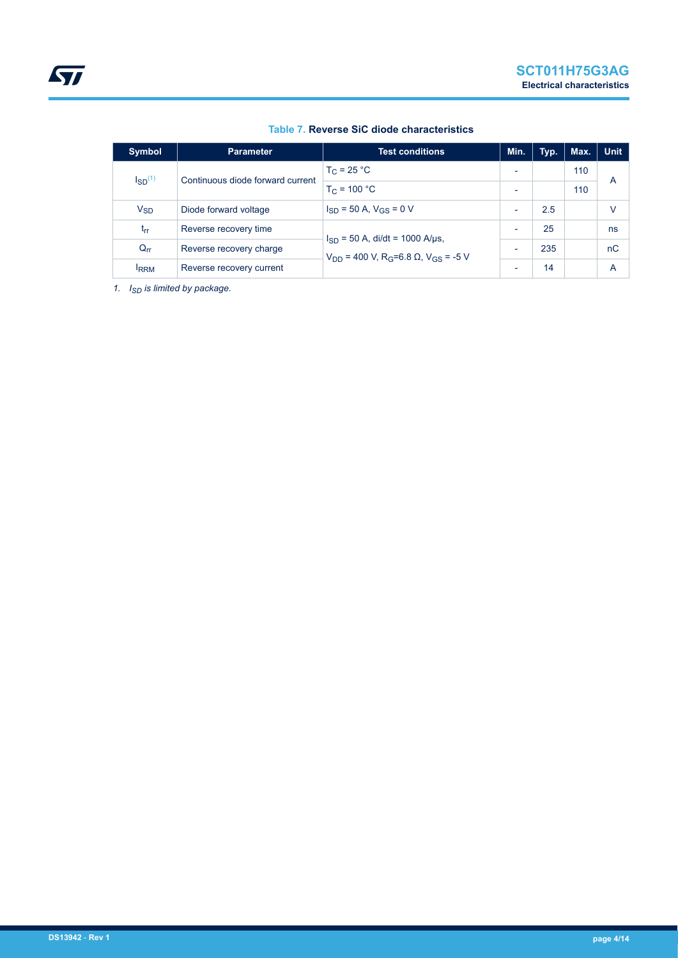| <b>Symbol</b>  | <b>Parameter</b>                 | <b>Test conditions</b>                                                                                 | Min.                     | Typ. | Max. | <b>Unit</b> |
|----------------|----------------------------------|--------------------------------------------------------------------------------------------------------|--------------------------|------|------|-------------|
| $I_{SD}^{(1)}$ | Continuous diode forward current | $T_C = 25 °C$                                                                                          | $\overline{\phantom{0}}$ |      | 110  | A           |
|                |                                  | $T_C = 100 °C$                                                                                         | $\overline{\phantom{0}}$ |      | 110  |             |
| $V_{SD}$       | Diode forward voltage            | $I_{SD}$ = 50 A, $V_{GS}$ = 0 V                                                                        | $\overline{\phantom{0}}$ | 2.5  |      | v           |
| $t_{rr}$       | Reverse recovery time            | $I_{SD}$ = 50 A, di/dt = 1000 A/µs,<br>$V_{DD}$ = 400 V, R <sub>G</sub> =6.8 Ω, V <sub>GS</sub> = -5 V | $\overline{\phantom{0}}$ | 25   |      | ns          |
| $Q_{rr}$       | Reverse recovery charge          |                                                                                                        | $\overline{\phantom{0}}$ | 235  |      | nC          |
| <b>IRRM</b>    | Reverse recovery current         |                                                                                                        | $\overline{\phantom{0}}$ | 14   |      | A           |

#### **Table 7. Reverse SiC diode characteristics**

*1. ISD is limited by package.*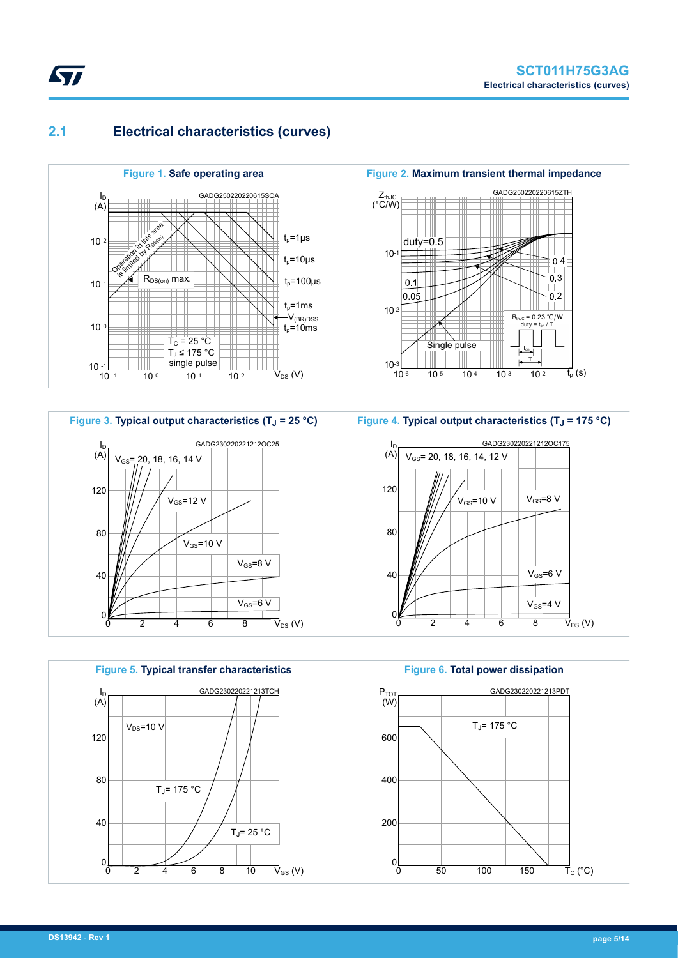### **2.1 Electrical characteristics (curves)**

<span id="page-4-0"></span>*kyi* 









**Figure 6. Total power dissipation** GADG230220221213PDT 600 400 200  $0<sub>L</sub>$ 0 50 100 150 P<sub>TOT</sub> (W)  $\vec{\mathsf{T}}_{\mathrm{C}}$  (°C)  $T_J$ = 175 °C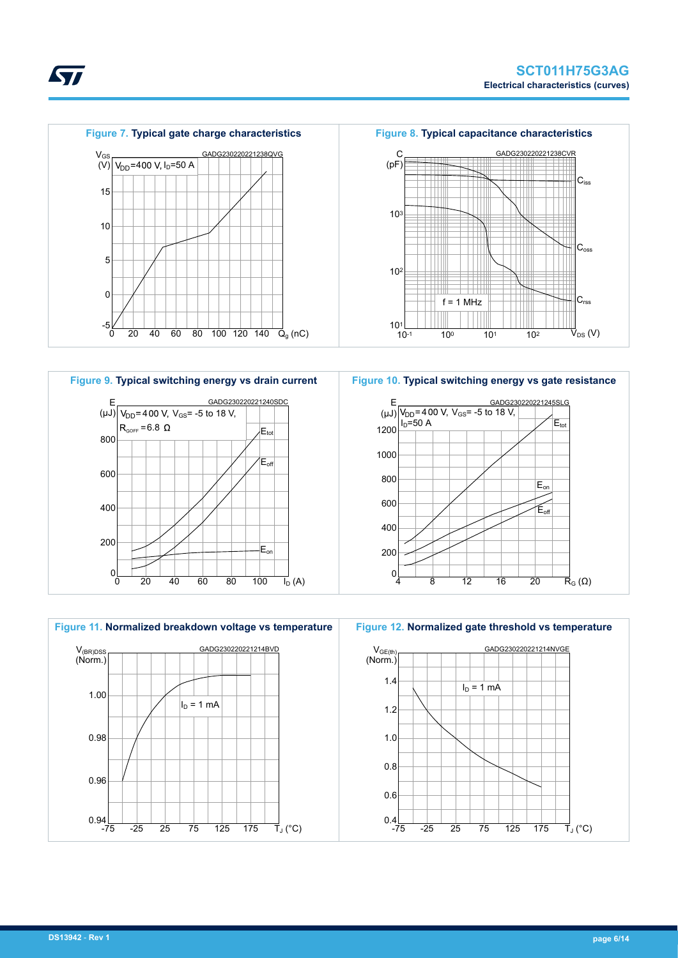





**Figure 10. Typical switching energy vs gate resistance**





**STI**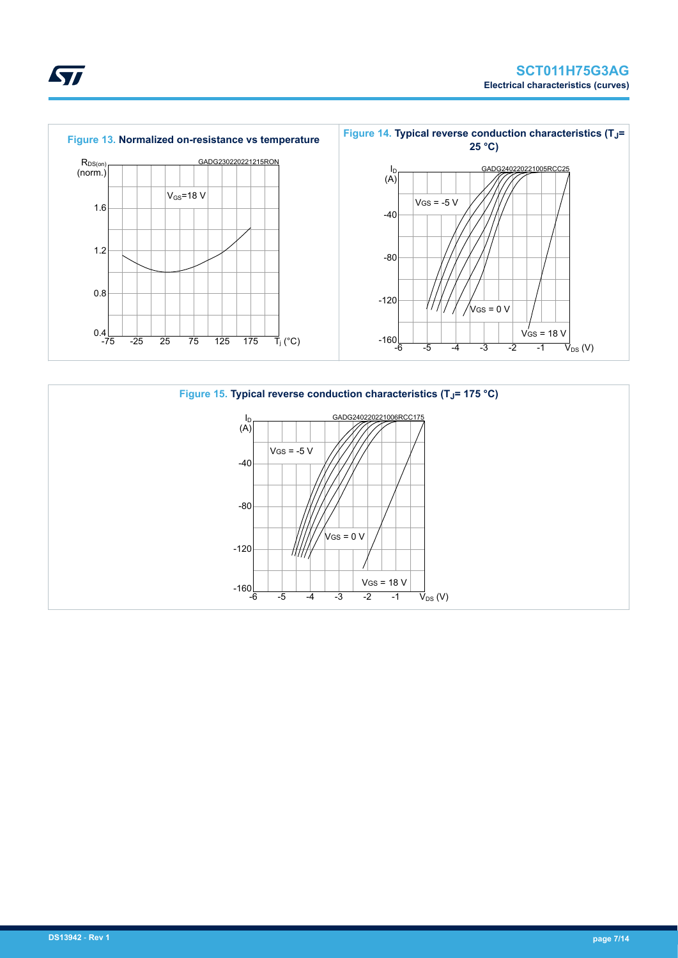



ST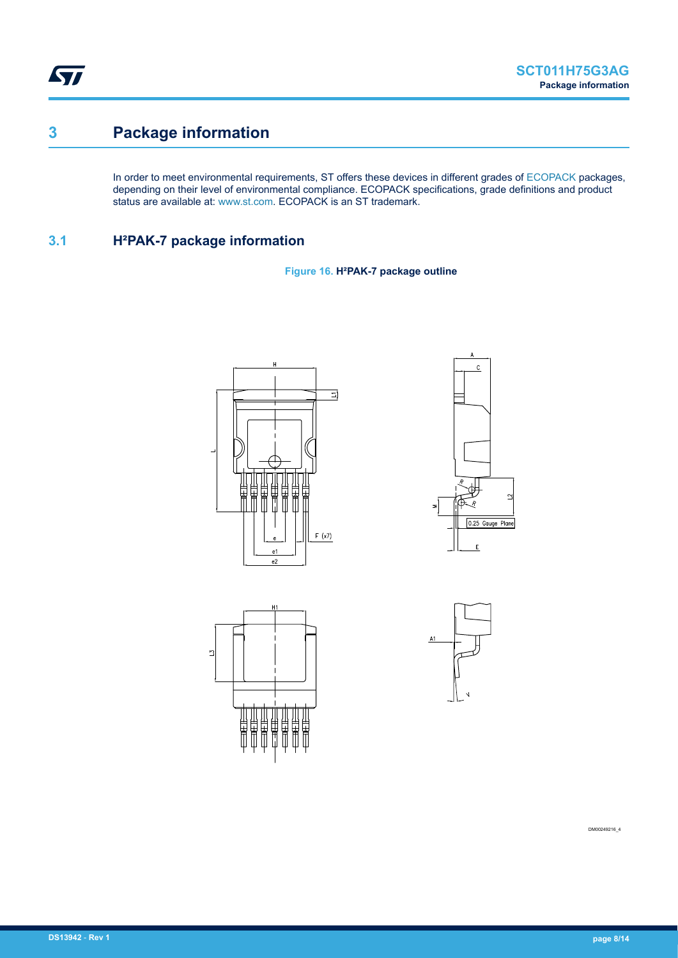<span id="page-7-0"></span>ST

## **3 Package information**

In order to meet environmental requirements, ST offers these devices in different grades of [ECOPACK](https://www.st.com/ecopack) packages, depending on their level of environmental compliance. ECOPACK specifications, grade definitions and product status are available at: [www.st.com.](http://www.st.com) ECOPACK is an ST trademark.

### **3.1 H²PAK-7 package information**

**Figure 16. H²PAK-7 package outline**







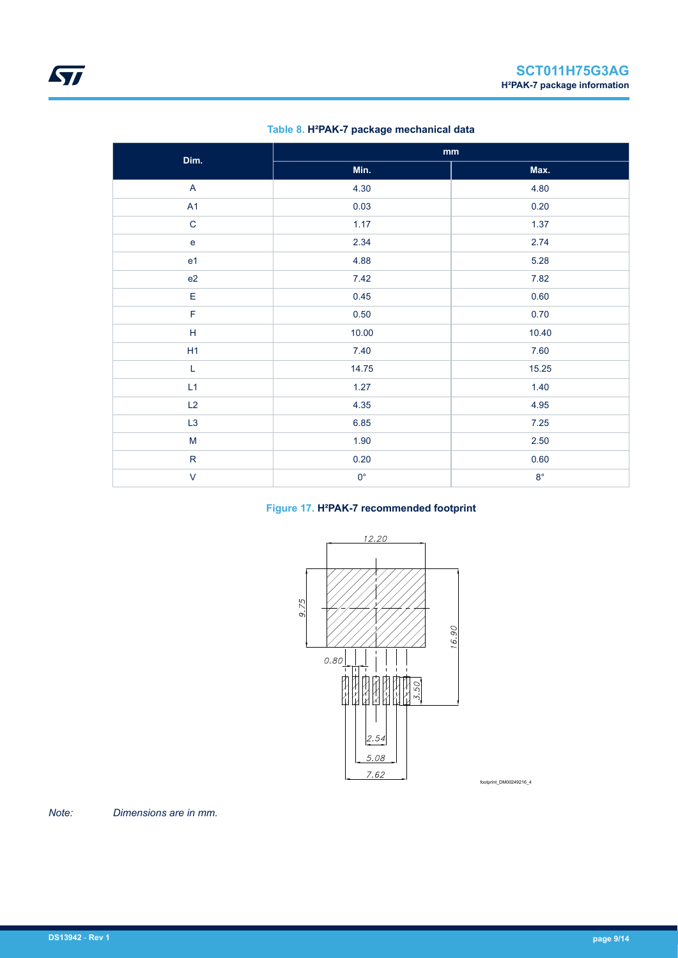| Dim.           | $\mathop{\text{mm}}\nolimits$ |             |  |
|----------------|-------------------------------|-------------|--|
|                | Min.                          | Max.        |  |
| $\mathsf{A}$   | 4.30                          | 4.80        |  |
| A1             | 0.03                          | 0.20        |  |
| $\mathbf C$    | 1.17                          | 1.37        |  |
| ${\bf e}$      | 2.34                          | 2.74        |  |
| e <sub>1</sub> | 4.88                          | 5.28        |  |
| e2             | 7.42                          | 7.82        |  |
| E              | 0.45                          | 0.60        |  |
| $\mathsf F$    | $0.50\,$                      | 0.70        |  |
| $\mathsf H$    | 10.00                         | 10.40       |  |
| H1             | 7.40                          | 7.60        |  |
| $\mathsf L$    | 14.75                         | 15.25       |  |
| L1             | 1.27                          | 1.40        |  |
| L2             | 4.35                          | 4.95        |  |
| L3             | 6.85                          | 7.25        |  |
| ${\sf M}$      | 1.90                          | $2.50\,$    |  |
| ${\sf R}$      | $0.20\,$                      | 0.60        |  |
| $\vee$         | $0^{\circ}$                   | $8^{\circ}$ |  |

#### **Table 8. H²PAK-7 package mechanical data**

### **Figure 17. H²PAK-7 recommended footprint**



footprint\_DM00249216\_4

*Note: Dimensions are in mm.*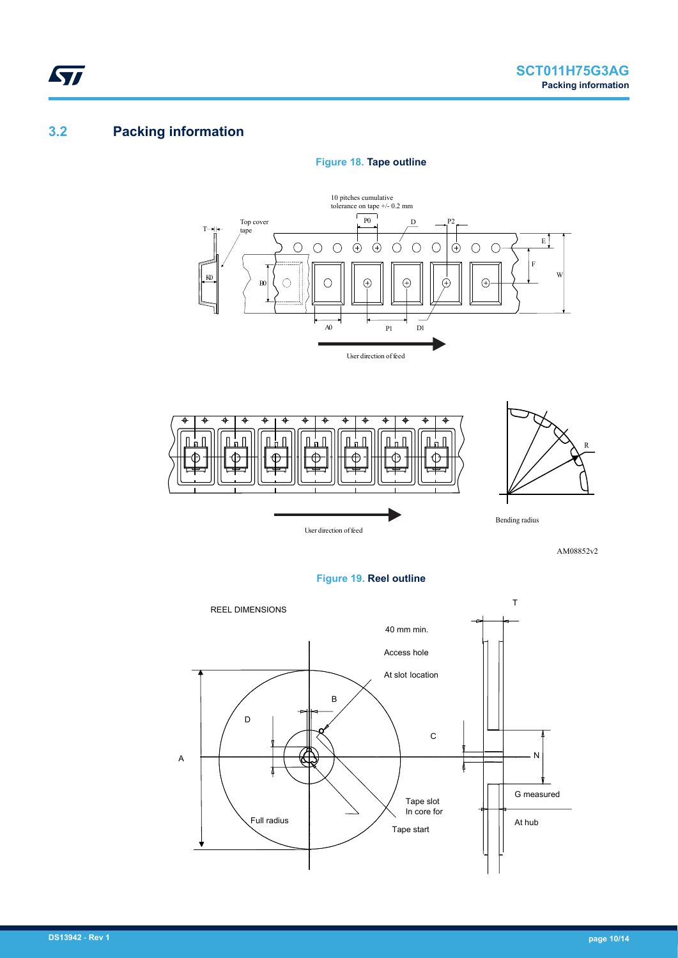### **3.2 Packing information**

<span id="page-9-0"></span>ST

#### **Figure 18. Tape outline**





AM08852v2

R



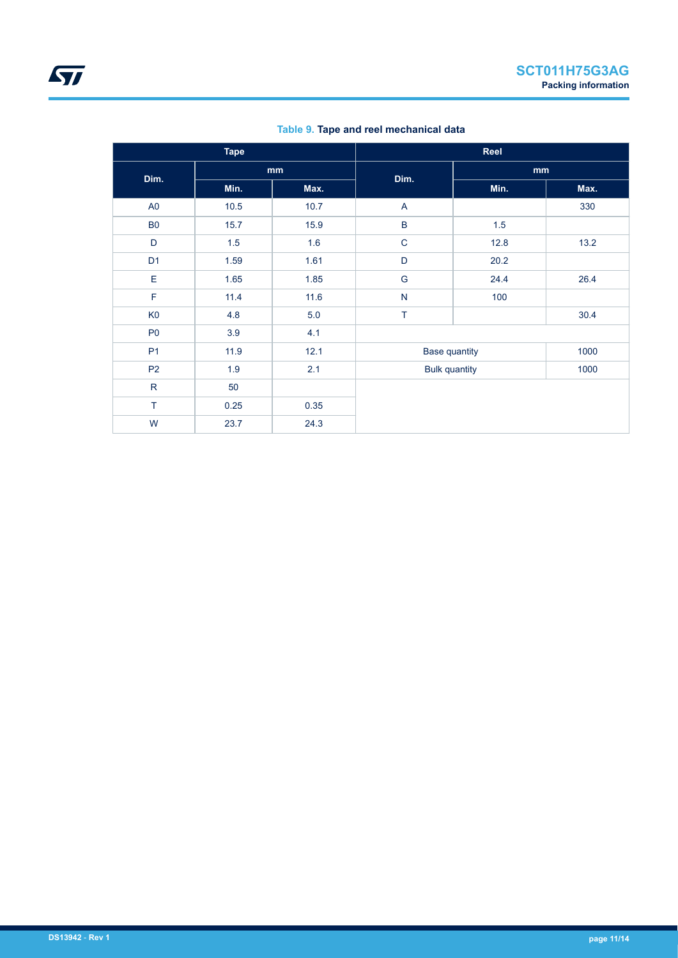|                | <b>Tape</b> |      |                      | Reel |      |  |
|----------------|-------------|------|----------------------|------|------|--|
| Dim.           |             | mm   | Dim.                 | mm   |      |  |
|                | Min.        | Max. |                      | Min. | Max. |  |
| A <sub>0</sub> | 10.5        | 10.7 | A                    |      | 330  |  |
| <b>B0</b>      | 15.7        | 15.9 | $\sf B$              | 1.5  |      |  |
| D              | 1.5         | 1.6  | $\mathsf C$          | 12.8 | 13.2 |  |
| D <sub>1</sub> | 1.59        | 1.61 | D                    | 20.2 |      |  |
| E              | 1.65        | 1.85 | G                    | 24.4 | 26.4 |  |
| $\mathsf F$    | 11.4        | 11.6 | N                    | 100  |      |  |
| K <sub>0</sub> | 4.8         | 5.0  | T                    |      | 30.4 |  |
| P <sub>0</sub> | 3.9         | 4.1  |                      |      |      |  |
| P <sub>1</sub> | 11.9        | 12.1 | <b>Base quantity</b> |      | 1000 |  |
| P <sub>2</sub> | 1.9         | 2.1  | <b>Bulk quantity</b> |      | 1000 |  |
| $\mathsf{R}$   | 50          |      |                      |      |      |  |
| T              | 0.25        | 0.35 |                      |      |      |  |
| W              | 23.7        | 24.3 |                      |      |      |  |

**Table 9. Tape and reel mechanical data**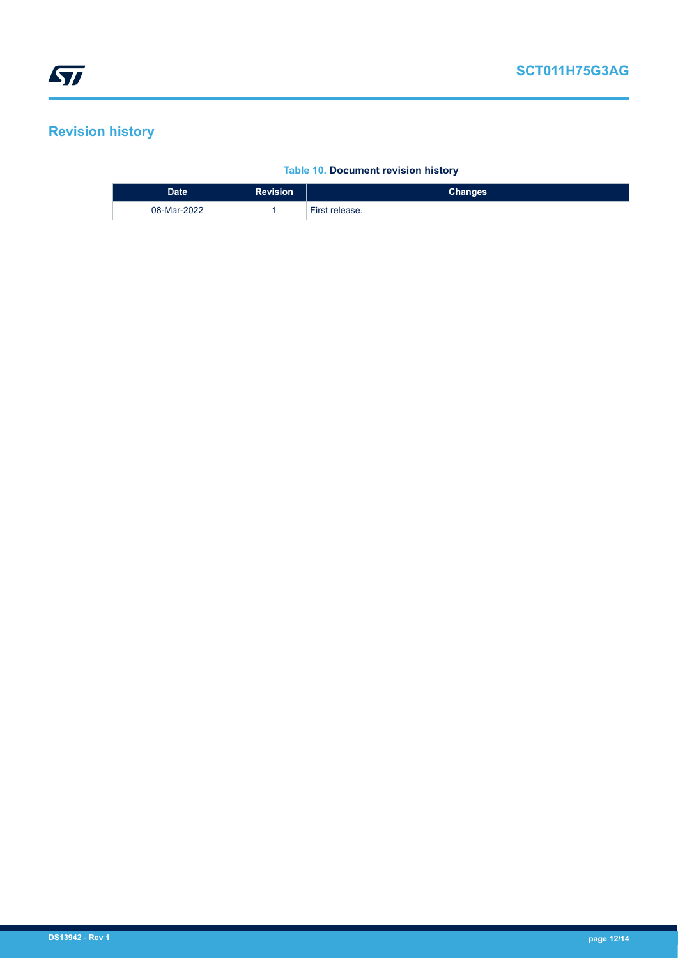## <span id="page-11-0"></span>**Revision history**

ı

#### **Table 10. Document revision history**

| <b>Date</b> | <b>Revision</b> | Changes        |
|-------------|-----------------|----------------|
| 08-Mar-2022 |                 | First release. |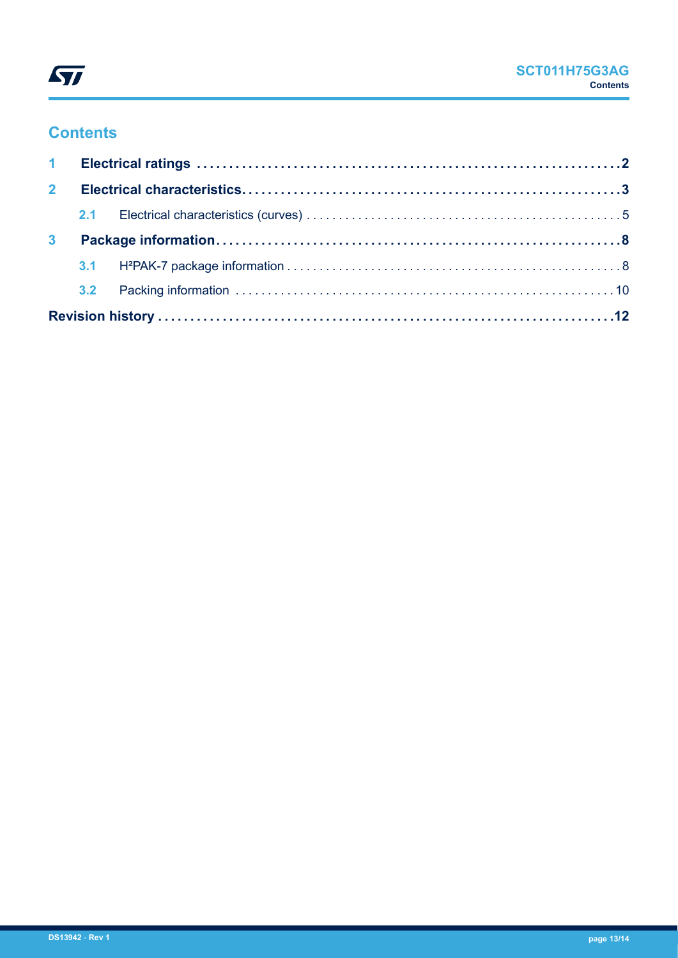

## **Contents**

| 2 <sup>7</sup> |  |  |  |
|----------------|--|--|--|
|                |  |  |  |
| 3 <sup>1</sup> |  |  |  |
|                |  |  |  |
|                |  |  |  |
|                |  |  |  |